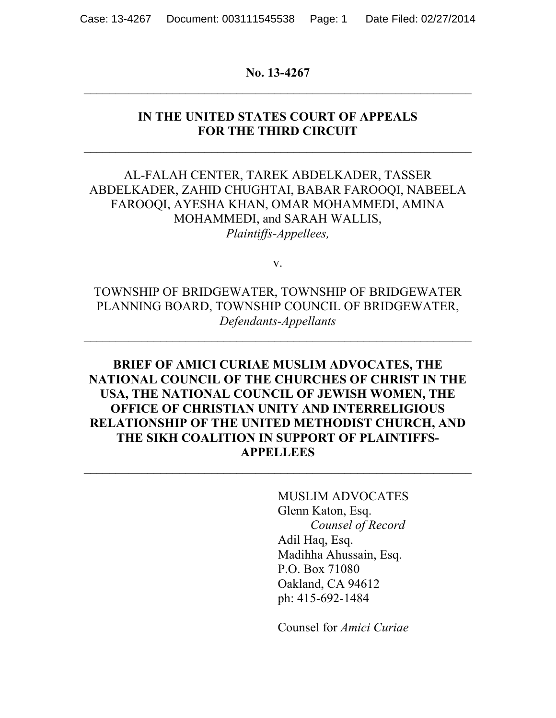#### **No. 13-4267**

### **IN THE UNITED STATES COURT OF APPEALS FOR THE THIRD CIRCUIT**

 $\_$  , and the contribution of the contribution of  $\mathcal{L}_\mathcal{A}$  , and the contribution of  $\mathcal{L}_\mathcal{A}$ 

## AL-FALAH CENTER, TAREK ABDELKADER, TASSER ABDELKADER, ZAHID CHUGHTAI, BABAR FAROOQI, NABEELA FAROOQI, AYESHA KHAN, OMAR MOHAMMEDI, AMINA MOHAMMEDI, and SARAH WALLIS, *Plaintiffs-Appellees,*

v.

TOWNSHIP OF BRIDGEWATER, TOWNSHIP OF BRIDGEWATER PLANNING BOARD, TOWNSHIP COUNCIL OF BRIDGEWATER, *Defendants-Appellants*

# **BRIEF OF AMICI CURIAE MUSLIM ADVOCATES, THE NATIONAL COUNCIL OF THE CHURCHES OF CHRIST IN THE USA, THE NATIONAL COUNCIL OF JEWISH WOMEN, THE OFFICE OF CHRISTIAN UNITY AND INTERRELIGIOUS RELATIONSHIP OF THE UNITED METHODIST CHURCH, AND THE SIKH COALITION IN SUPPORT OF PLAINTIFFS-APPELLEES**

MUSLIM ADVOCATES Glenn Katon, Esq. *Counsel of Record* Adil Haq, Esq. Madihha Ahussain, Esq. P.O. Box 71080 Oakland, CA 94612 ph: 415-692-1484

Counsel for *Amici Curiae*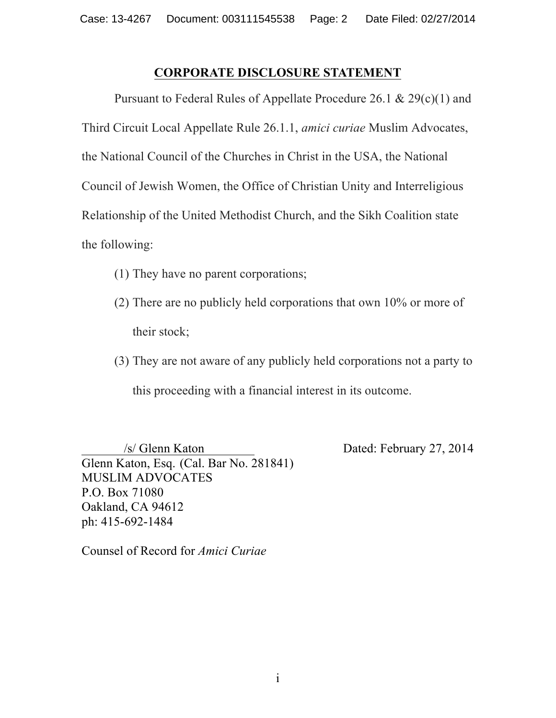## **CORPORATE DISCLOSURE STATEMENT**

Pursuant to Federal Rules of Appellate Procedure 26.1 & 29(c)(1) and Third Circuit Local Appellate Rule 26.1.1, *amici curiae* Muslim Advocates, the National Council of the Churches in Christ in the USA, the National Council of Jewish Women, the Office of Christian Unity and Interreligious Relationship of the United Methodist Church, and the Sikh Coalition state the following:

- (1) They have no parent corporations;
- (2) There are no publicly held corporations that own 10% or more of their stock;
- (3) They are not aware of any publicly held corporations not a party to this proceeding with a financial interest in its outcome.

 /s/ Glenn Katon Dated: February 27, 2014 Glenn Katon, Esq. (Cal. Bar No. 281841) MUSLIM ADVOCATES P.O. Box 71080 Oakland, CA 94612 ph: 415-692-1484

Counsel of Record for *Amici Curiae*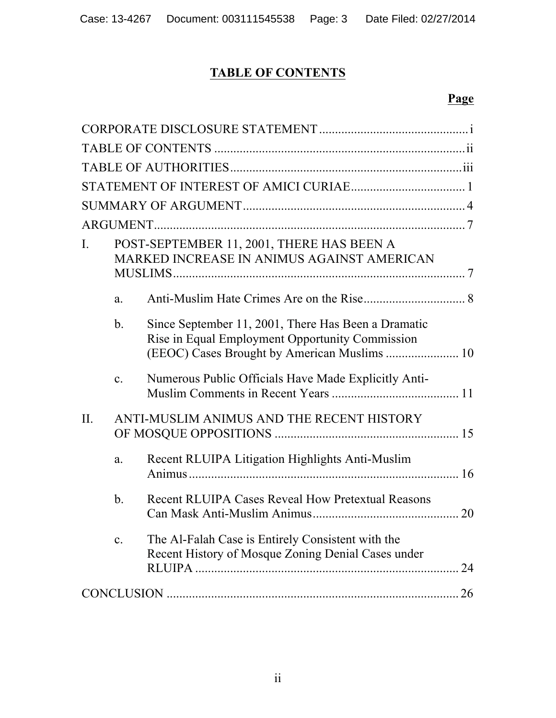# **TABLE OF CONTENTS**

| L.      |                                           | POST-SEPTEMBER 11, 2001, THERE HAS BEEN A<br>MARKED INCREASE IN ANIMUS AGAINST AMERICAN                 |    |
|---------|-------------------------------------------|---------------------------------------------------------------------------------------------------------|----|
|         | a.                                        |                                                                                                         |    |
|         | $\mathbf{b}$ .                            | Since September 11, 2001, There Has Been a Dramatic<br>Rise in Equal Employment Opportunity Commission  |    |
|         | $\mathbf{c}$ .                            | Numerous Public Officials Have Made Explicitly Anti-                                                    |    |
| $\Pi$ . | ANTI-MUSLIM ANIMUS AND THE RECENT HISTORY |                                                                                                         |    |
|         | a.                                        | Recent RLUIPA Litigation Highlights Anti-Muslim                                                         |    |
|         | b <sub>1</sub>                            | Recent RLUIPA Cases Reveal How Pretextual Reasons                                                       |    |
|         | $\mathbf{c}$ .                            | The Al-Falah Case is Entirely Consistent with the<br>Recent History of Mosque Zoning Denial Cases under | 24 |
|         |                                           |                                                                                                         |    |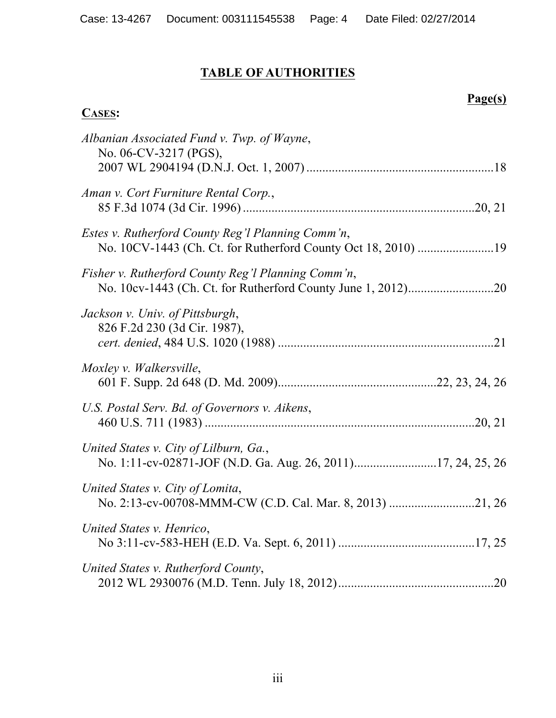# **TABLE OF AUTHORITIES**

# **Page(s)**

## **CASES:**

| Albanian Associated Fund v. Twp. of Wayne,<br>No. 06-CV-3217 (PGS),                                                |  |
|--------------------------------------------------------------------------------------------------------------------|--|
| Aman v. Cort Furniture Rental Corp.,                                                                               |  |
| Estes v. Rutherford County Reg'l Planning Comm'n,<br>No. 10CV-1443 (Ch. Ct. for Rutherford County Oct 18, 2010) 19 |  |
| Fisher v. Rutherford County Reg'l Planning Comm'n,                                                                 |  |
| Jackson v. Univ. of Pittsburgh,<br>826 F.2d 230 (3d Cir. 1987),                                                    |  |
| Moxley v. Walkersville,                                                                                            |  |
| U.S. Postal Serv. Bd. of Governors v. Aikens,                                                                      |  |
| United States v. City of Lilburn, Ga.,<br>No. 1:11-cv-02871-JOF (N.D. Ga. Aug. 26, 2011)17, 24, 25, 26             |  |
| United States v. City of Lomita,<br>No. 2:13-cv-00708-MMM-CW (C.D. Cal. Mar. 8, 2013) 21, 26                       |  |
| United States v. Henrico,                                                                                          |  |
| United States v. Rutherford County,                                                                                |  |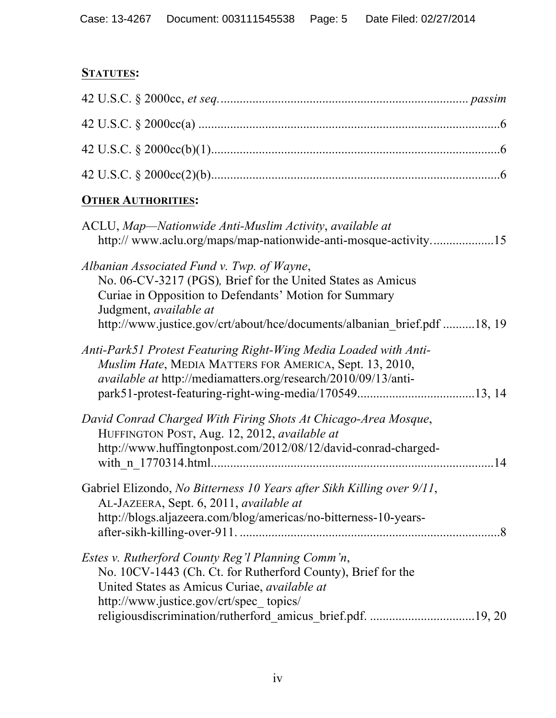# **STATUTES:**

| <b>OTHER AUTHORITIES:</b>                                                                                                                                                                                                                                                 |  |
|---------------------------------------------------------------------------------------------------------------------------------------------------------------------------------------------------------------------------------------------------------------------------|--|
| ACLU, Map—Nationwide Anti-Muslim Activity, available at<br>http://www.aclu.org/maps/map-nationwide-anti-mosque-activity15                                                                                                                                                 |  |
| Albanian Associated Fund v. Twp. of Wayne,<br>No. 06-CV-3217 (PGS), Brief for the United States as Amicus<br>Curiae in Opposition to Defendants' Motion for Summary<br>Judgment, available at<br>http://www.justice.gov/crt/about/hce/documents/albanian brief.pdf 18, 19 |  |
| Anti-Park51 Protest Featuring Right-Wing Media Loaded with Anti-<br>Muslim Hate, MEDIA MATTERS FOR AMERICA, Sept. 13, 2010,<br><i>available at http://mediamatters.org/research/2010/09/13/anti-</i>                                                                      |  |
| David Conrad Charged With Firing Shots At Chicago-Area Mosque,<br>HUFFINGTON POST, Aug. 12, 2012, available at<br>http://www.huffingtonpost.com/2012/08/12/david-conrad-charged-                                                                                          |  |
| Gabriel Elizondo, No Bitterness 10 Years after Sikh Killing over 9/11,<br>AL-JAZEERA, Sept. 6, 2011, available at<br>http://blogs.aljazeera.com/blog/americas/no-bitterness-10-years-                                                                                     |  |
| Estes v. Rutherford County Reg'l Planning Comm'n,<br>No. 10CV-1443 (Ch. Ct. for Rutherford County), Brief for the<br>United States as Amicus Curiae, available at<br>http://www.justice.gov/crt/spec topics/                                                              |  |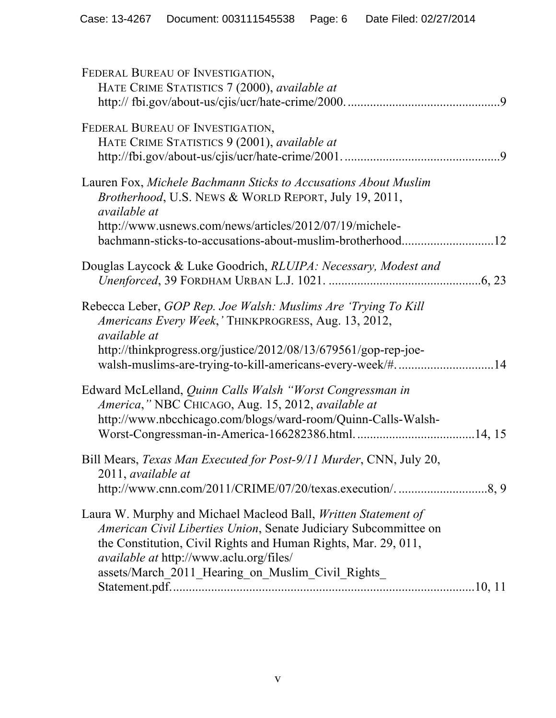| FEDERAL BUREAU OF INVESTIGATION,<br>HATE CRIME STATISTICS 7 (2000), available at                                                                                                                                                                                                                            |
|-------------------------------------------------------------------------------------------------------------------------------------------------------------------------------------------------------------------------------------------------------------------------------------------------------------|
| FEDERAL BUREAU OF INVESTIGATION,<br>HATE CRIME STATISTICS 9 (2001), available at                                                                                                                                                                                                                            |
| Lauren Fox, Michele Bachmann Sticks to Accusations About Muslim<br>Brotherhood, U.S. NEWS & WORLD REPORT, July 19, 2011,<br>available at<br>http://www.usnews.com/news/articles/2012/07/19/michele-                                                                                                         |
| Douglas Laycock & Luke Goodrich, RLUIPA: Necessary, Modest and                                                                                                                                                                                                                                              |
| Rebecca Leber, GOP Rep. Joe Walsh: Muslims Are 'Trying To Kill<br>Americans Every Week,' THINKPROGRESS, Aug. 13, 2012,<br><i>available at</i><br>http://thinkprogress.org/justice/2012/08/13/679561/gop-rep-joe-<br>walsh-muslims-are-trying-to-kill-americans-every-week/#14                               |
| Edward McLelland, Quinn Calls Walsh "Worst Congressman in<br>America," NBC CHICAGO, Aug. 15, 2012, available at<br>http://www.nbcchicago.com/blogs/ward-room/Quinn-Calls-Walsh-                                                                                                                             |
| Bill Mears, Texas Man Executed for Post-9/11 Murder, CNN, July 20,<br>2011, available at<br>http://www.cnn.com/2011/CRIME/07/20/texas.execution/8, 9                                                                                                                                                        |
| Laura W. Murphy and Michael Macleod Ball, Written Statement of<br>American Civil Liberties Union, Senate Judiciary Subcommittee on<br>the Constitution, Civil Rights and Human Rights, Mar. 29, 011,<br><i>available at http://www.aclu.org/files/</i><br>assets/March_2011_Hearing_on_Muslim_Civil_Rights_ |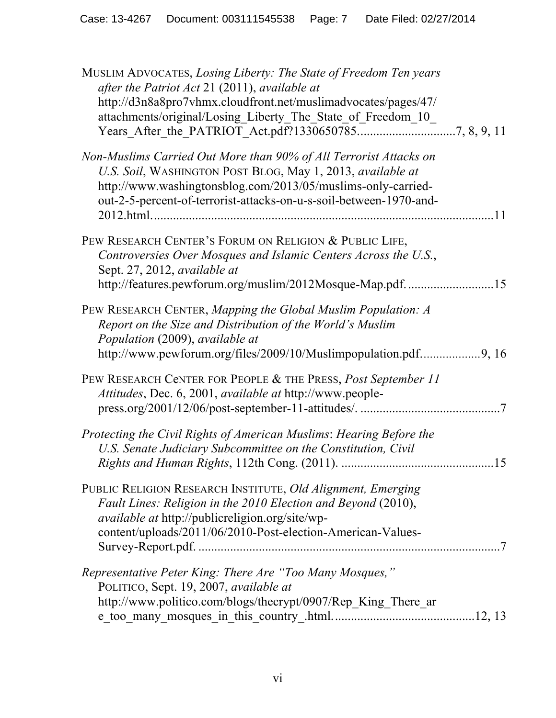| MUSLIM ADVOCATES, Losing Liberty: The State of Freedom Ten years<br>after the Patriot Act 21 (2011), available at<br>http://d3n8a8pro7vhmx.cloudfront.net/muslimadvocates/pages/47/<br>attachments/original/Losing Liberty The State of Freedom 10                    |     |
|-----------------------------------------------------------------------------------------------------------------------------------------------------------------------------------------------------------------------------------------------------------------------|-----|
| Non-Muslims Carried Out More than 90% of All Terrorist Attacks on<br>U.S. Soil, WASHINGTON POST BLOG, May 1, 2013, available at<br>http://www.washingtonsblog.com/2013/05/muslims-only-carried-<br>out-2-5-percent-of-terrorist-attacks-on-u-s-soil-between-1970-and- | .11 |
| PEW RESEARCH CENTER'S FORUM ON RELIGION & PUBLIC LIFE,<br>Controversies Over Mosques and Islamic Centers Across the U.S.,<br>Sept. 27, 2012, available at<br>http://features.pewforum.org/muslim/2012Mosque-Map.pdf. 15                                               |     |
| PEW RESEARCH CENTER, Mapping the Global Muslim Population: A<br>Report on the Size and Distribution of the World's Muslim<br>Population (2009), available at                                                                                                          |     |
| PEW RESEARCH CENTER FOR PEOPLE & THE PRESS, Post September 11<br>Attitudes, Dec. 6, 2001, available at http://www.people-                                                                                                                                             |     |
| Protecting the Civil Rights of American Muslims: Hearing Before the<br>U.S. Senate Judiciary Subcommittee on the Constitution, Civil                                                                                                                                  |     |
| PUBLIC RELIGION RESEARCH INSTITUTE, Old Alignment, Emerging<br>Fault Lines: Religion in the 2010 Election and Beyond (2010),<br><i>available at http://publicreligion.org/site/wp-</i><br>content/uploads/2011/06/2010-Post-election-American-Values-                 |     |
| Representative Peter King: There Are "Too Many Mosques,"<br>POLITICO, Sept. 19, 2007, available at<br>http://www.politico.com/blogs/thecrypt/0907/Rep King There ar                                                                                                   |     |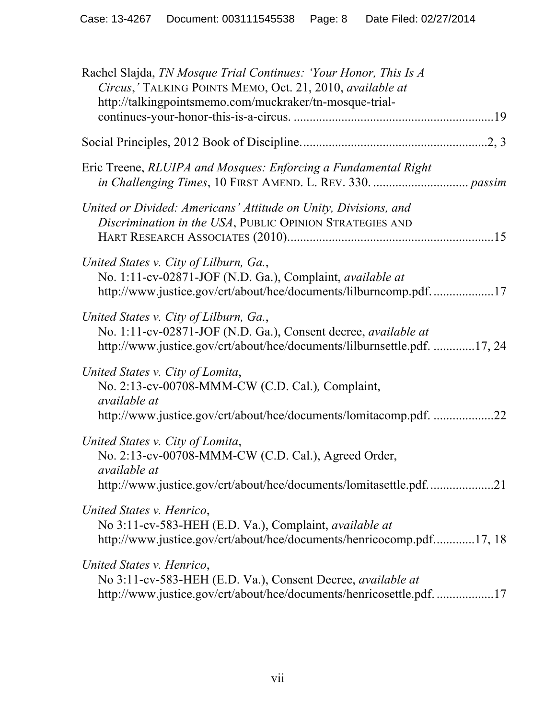| Rachel Slajda, TN Mosque Trial Continues: 'Your Honor, This Is A<br>Circus,' TALKING POINTS MEMO, Oct. 21, 2010, available at<br>http://talkingpointsmemo.com/muckraker/tn-mosque-trial- |  |
|------------------------------------------------------------------------------------------------------------------------------------------------------------------------------------------|--|
|                                                                                                                                                                                          |  |
| Eric Treene, RLUIPA and Mosques: Enforcing a Fundamental Right                                                                                                                           |  |
| United or Divided: Americans' Attitude on Unity, Divisions, and<br>Discrimination in the USA, PUBLIC OPINION STRATEGIES AND                                                              |  |
| United States v. City of Lilburn, Ga.,<br>No. 1:11-cv-02871-JOF (N.D. Ga.), Complaint, available at<br>http://www.justice.gov/crt/about/hce/documents/lilburncomp.pdf17                  |  |
| United States v. City of Lilburn, Ga.,<br>No. 1:11-cv-02871-JOF (N.D. Ga.), Consent decree, available at<br>http://www.justice.gov/crt/about/hce/documents/lilburnsettle.pdf. 17, 24     |  |
| United States v. City of Lomita,<br>No. 2:13-cv-00708-MMM-CW (C.D. Cal.), Complaint,<br><i>available at</i><br>http://www.justice.gov/crt/about/hce/documents/lomitacomp.pdf. 22         |  |
| United States v. City of Lomita,<br>No. 2:13-cv-00708-MMM-CW (C.D. Cal.), Agreed Order,<br>available at<br>http://www.justice.gov/crt/about/hce/documents/lomitasettle.pdf21             |  |
| United States v. Henrico,<br>No 3:11-cv-583-HEH (E.D. Va.), Complaint, <i>available at</i><br>http://www.justice.gov/crt/about/hce/documents/henricocomp.pdf17, 18                       |  |
| United States v. Henrico,<br>No 3:11-cv-583-HEH (E.D. Va.), Consent Decree, available at<br>http://www.justice.gov/crt/about/hce/documents/henricosettle.pdf17                           |  |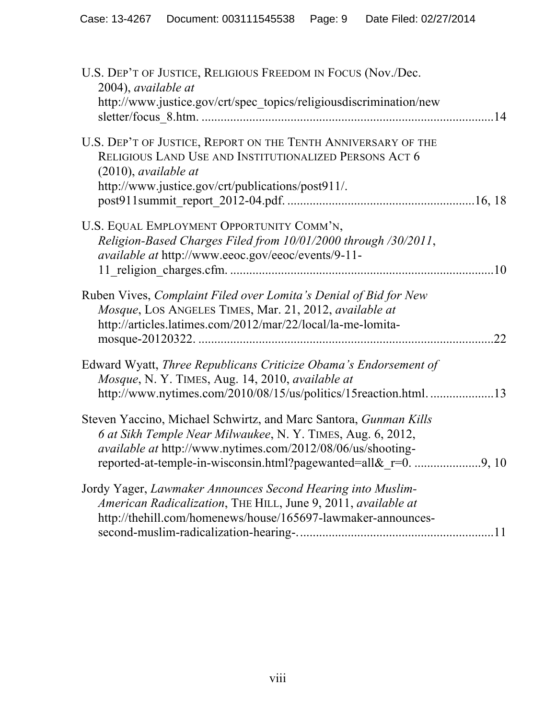| U.S. DEP'T OF JUSTICE, RELIGIOUS FREEDOM IN FOCUS (Nov./Dec.<br>2004), available at<br>http://www.justice.gov/crt/spec_topics/religiousdiscrimination/new                                               |           |
|---------------------------------------------------------------------------------------------------------------------------------------------------------------------------------------------------------|-----------|
| U.S. DEP'T OF JUSTICE, REPORT ON THE TENTH ANNIVERSARY OF THE<br>RELIGIOUS LAND USE AND INSTITUTIONALIZED PERSONS ACT 6<br>$(2010)$ , available at<br>http://www.justice.gov/crt/publications/post911/. |           |
| U.S. EQUAL EMPLOYMENT OPPORTUNITY COMM'N,<br>Religion-Based Charges Filed from 10/01/2000 through /30/2011,<br>available at http://www.eeoc.gov/eeoc/events/9-11-                                       | <b>10</b> |
| Ruben Vives, Complaint Filed over Lomita's Denial of Bid for New<br>Mosque, LOS ANGELES TIMES, Mar. 21, 2012, available at<br>http://articles.latimes.com/2012/mar/22/local/la-me-lomita-               | 22        |
| Edward Wyatt, Three Republicans Criticize Obama's Endorsement of<br>Mosque, N.Y. TIMES, Aug. 14, 2010, available at<br>http://www.nytimes.com/2010/08/15/us/politics/15reaction.html13                  |           |
| Steven Yaccino, Michael Schwirtz, and Marc Santora, Gunman Kills<br>6 at Sikh Temple Near Milwaukee, N.Y. TIMES, Aug. 6, 2012,<br><i>available at http://www.nytimes.com/2012/08/06/us/shooting-</i>    |           |
| Jordy Yager, Lawmaker Announces Second Hearing into Muslim-<br>American Radicalization, THE HILL, June 9, 2011, available at<br>http://thehill.com/homenews/house/165697-lawmaker-announces-            |           |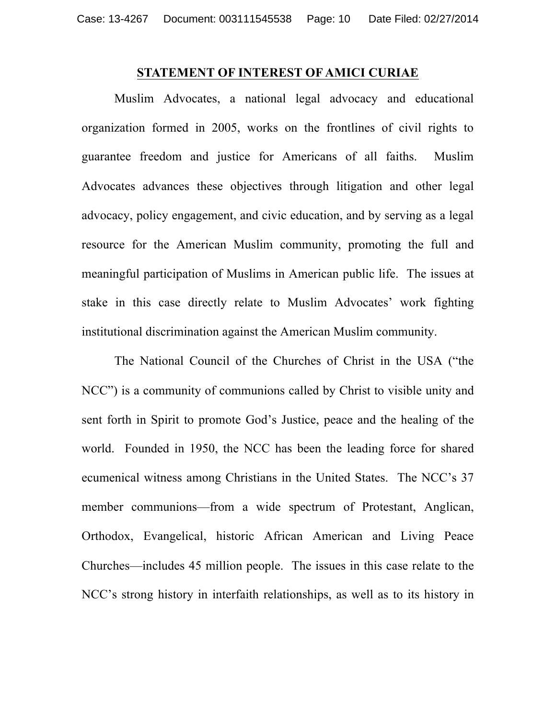#### **STATEMENT OF INTEREST OF AMICI CURIAE**

Muslim Advocates, a national legal advocacy and educational organization formed in 2005, works on the frontlines of civil rights to guarantee freedom and justice for Americans of all faiths. Muslim Advocates advances these objectives through litigation and other legal advocacy, policy engagement, and civic education, and by serving as a legal resource for the American Muslim community, promoting the full and meaningful participation of Muslims in American public life. The issues at stake in this case directly relate to Muslim Advocates' work fighting institutional discrimination against the American Muslim community.

The National Council of the Churches of Christ in the USA ("the NCC") is a community of communions called by Christ to visible unity and sent forth in Spirit to promote God's Justice, peace and the healing of the world. Founded in 1950, the NCC has been the leading force for shared ecumenical witness among Christians in the United States. The NCC's 37 member communions—from a wide spectrum of Protestant, Anglican, Orthodox, Evangelical, historic African American and Living Peace Churches—includes 45 million people. The issues in this case relate to the NCC's strong history in interfaith relationships, as well as to its history in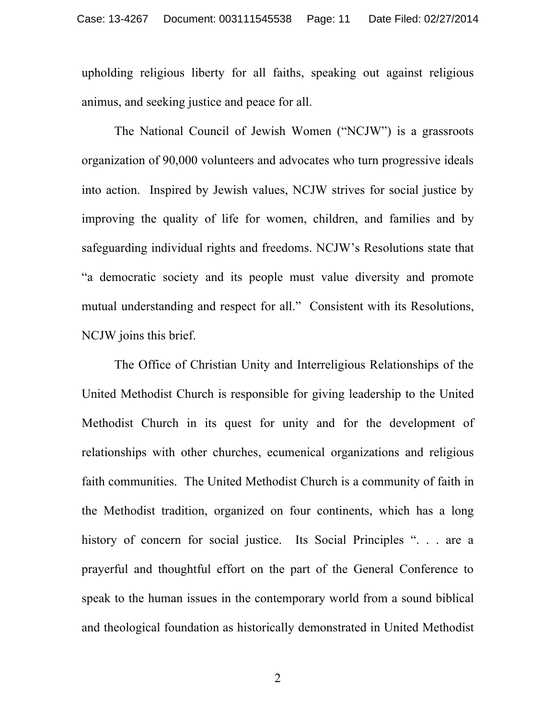upholding religious liberty for all faiths, speaking out against religious animus, and seeking justice and peace for all.

The National Council of Jewish Women ("NCJW") is a grassroots organization of 90,000 volunteers and advocates who turn progressive ideals into action. Inspired by Jewish values, NCJW strives for social justice by improving the quality of life for women, children, and families and by safeguarding individual rights and freedoms. NCJW's Resolutions state that "a democratic society and its people must value diversity and promote mutual understanding and respect for all." Consistent with its Resolutions, NCJW joins this brief.

The Office of Christian Unity and Interreligious Relationships of the United Methodist Church is responsible for giving leadership to the United Methodist Church in its quest for unity and for the development of relationships with other churches, ecumenical organizations and religious faith communities. The United Methodist Church is a community of faith in the Methodist tradition, organized on four continents, which has a long history of concern for social justice. Its Social Principles ". . . are a prayerful and thoughtful effort on the part of the General Conference to speak to the human issues in the contemporary world from a sound biblical and theological foundation as historically demonstrated in United Methodist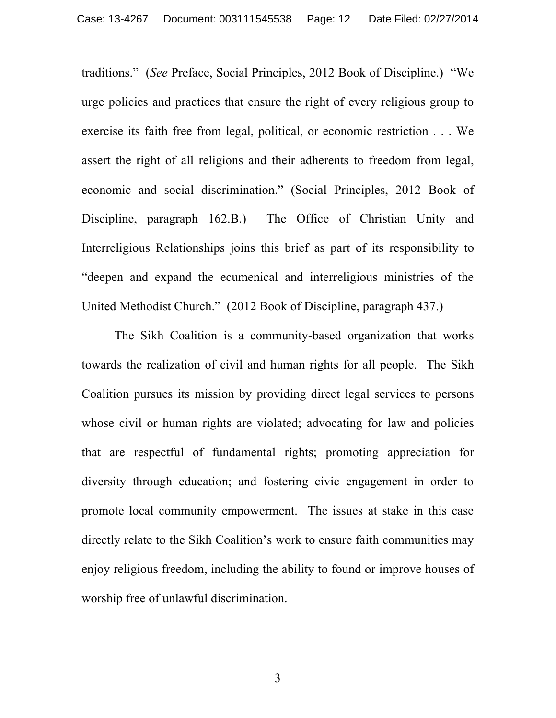traditions." (*See* Preface, Social Principles, 2012 Book of Discipline.) "We urge policies and practices that ensure the right of every religious group to exercise its faith free from legal, political, or economic restriction . . . We assert the right of all religions and their adherents to freedom from legal, economic and social discrimination." (Social Principles, 2012 Book of Discipline, paragraph 162.B.) The Office of Christian Unity and Interreligious Relationships joins this brief as part of its responsibility to "deepen and expand the ecumenical and interreligious ministries of the United Methodist Church." (2012 Book of Discipline, paragraph 437.)

The Sikh Coalition is a community-based organization that works towards the realization of civil and human rights for all people. The Sikh Coalition pursues its mission by providing direct legal services to persons whose civil or human rights are violated; advocating for law and policies that are respectful of fundamental rights; promoting appreciation for diversity through education; and fostering civic engagement in order to promote local community empowerment. The issues at stake in this case directly relate to the Sikh Coalition's work to ensure faith communities may enjoy religious freedom, including the ability to found or improve houses of worship free of unlawful discrimination.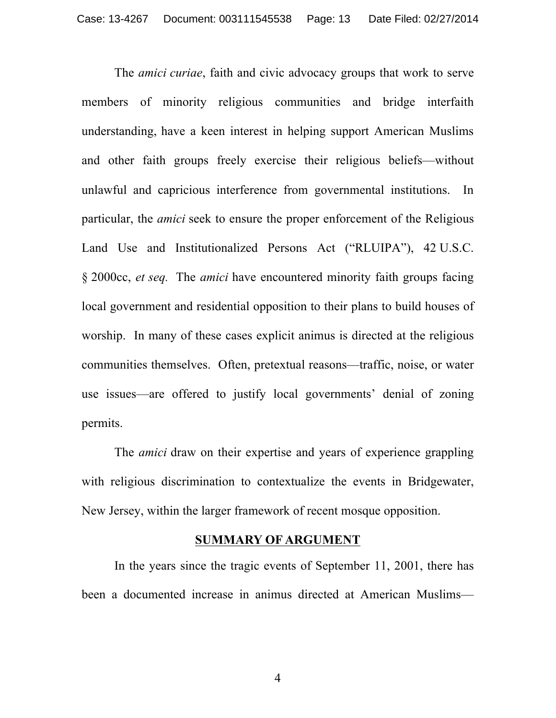The *amici curiae*, faith and civic advocacy groups that work to serve members of minority religious communities and bridge interfaith understanding, have a keen interest in helping support American Muslims and other faith groups freely exercise their religious beliefs—without unlawful and capricious interference from governmental institutions. In particular, the *amici* seek to ensure the proper enforcement of the Religious Land Use and Institutionalized Persons Act ("RLUIPA"), 42 U.S.C. § 2000cc, *et seq.* The *amici* have encountered minority faith groups facing local government and residential opposition to their plans to build houses of worship. In many of these cases explicit animus is directed at the religious communities themselves. Often, pretextual reasons—traffic, noise, or water use issues—are offered to justify local governments' denial of zoning permits.

The *amici* draw on their expertise and years of experience grappling with religious discrimination to contextualize the events in Bridgewater, New Jersey, within the larger framework of recent mosque opposition.

#### **SUMMARY OF ARGUMENT**

In the years since the tragic events of September 11, 2001, there has been a documented increase in animus directed at American Muslims—

4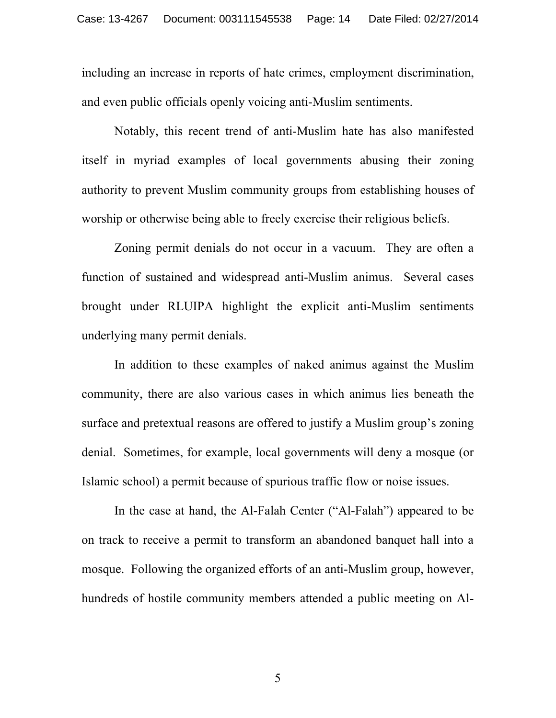including an increase in reports of hate crimes, employment discrimination, and even public officials openly voicing anti-Muslim sentiments.

Notably, this recent trend of anti-Muslim hate has also manifested itself in myriad examples of local governments abusing their zoning authority to prevent Muslim community groups from establishing houses of worship or otherwise being able to freely exercise their religious beliefs.

Zoning permit denials do not occur in a vacuum. They are often a function of sustained and widespread anti-Muslim animus. Several cases brought under RLUIPA highlight the explicit anti-Muslim sentiments underlying many permit denials.

In addition to these examples of naked animus against the Muslim community, there are also various cases in which animus lies beneath the surface and pretextual reasons are offered to justify a Muslim group's zoning denial. Sometimes, for example, local governments will deny a mosque (or Islamic school) a permit because of spurious traffic flow or noise issues.

In the case at hand, the Al-Falah Center ("Al-Falah") appeared to be on track to receive a permit to transform an abandoned banquet hall into a mosque. Following the organized efforts of an anti-Muslim group, however, hundreds of hostile community members attended a public meeting on Al-

5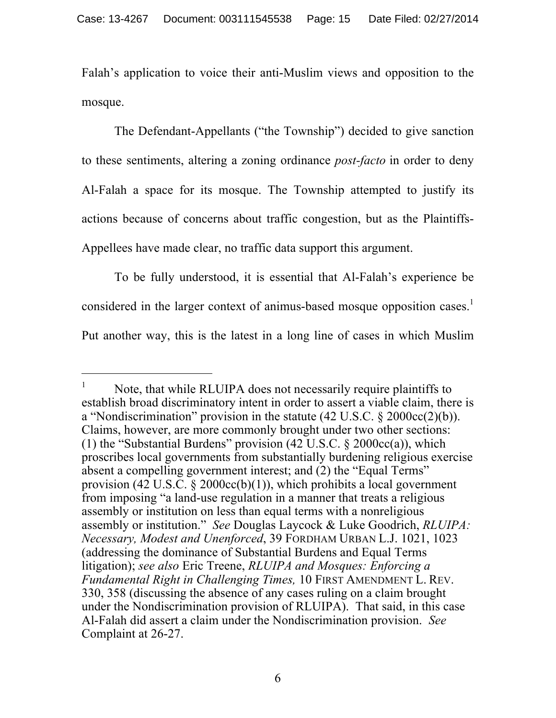Falah's application to voice their anti-Muslim views and opposition to the mosque.

The Defendant-Appellants ("the Township") decided to give sanction to these sentiments, altering a zoning ordinance *post-facto* in order to deny Al-Falah a space for its mosque. The Township attempted to justify its actions because of concerns about traffic congestion, but as the Plaintiffs-Appellees have made clear, no traffic data support this argument.

To be fully understood, it is essential that Al-Falah's experience be considered in the larger context of animus-based mosque opposition cases.<sup>1</sup> Put another way, this is the latest in a long line of cases in which Muslim

l

 $1$  Note, that while RLUIPA does not necessarily require plaintiffs to establish broad discriminatory intent in order to assert a viable claim, there is a "Nondiscrimination" provision in the statute (42 U.S.C. § 2000cc(2)(b)). Claims, however, are more commonly brought under two other sections: (1) the "Substantial Burdens" provision  $(42 \text{ U.S.C.} \& 2000 \text{cc}(a))$ , which proscribes local governments from substantially burdening religious exercise absent a compelling government interest; and (2) the "Equal Terms" provision (42 U.S.C.  $\S$  2000cc(b)(1)), which prohibits a local government from imposing "a land-use regulation in a manner that treats a religious assembly or institution on less than equal terms with a nonreligious assembly or institution." *See* Douglas Laycock & Luke Goodrich, *RLUIPA: Necessary, Modest and Unenforced*, 39 FORDHAM URBAN L.J. 1021, 1023 (addressing the dominance of Substantial Burdens and Equal Terms litigation); *see also* Eric Treene, *RLUIPA and Mosques: Enforcing a Fundamental Right in Challenging Times,* 10 FIRST AMENDMENT L. REV. 330, 358 (discussing the absence of any cases ruling on a claim brought under the Nondiscrimination provision of RLUIPA). That said, in this case Al-Falah did assert a claim under the Nondiscrimination provision. *See*  Complaint at 26-27.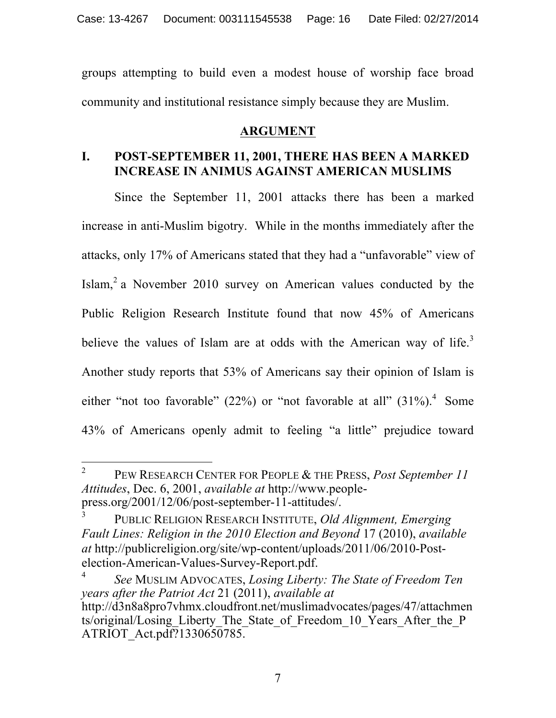groups attempting to build even a modest house of worship face broad community and institutional resistance simply because they are Muslim.

# **ARGUMENT**

# **I. POST-SEPTEMBER 11, 2001, THERE HAS BEEN A MARKED INCREASE IN ANIMUS AGAINST AMERICAN MUSLIMS**

Since the September 11, 2001 attacks there has been a marked increase in anti-Muslim bigotry. While in the months immediately after the attacks, only 17% of Americans stated that they had a "unfavorable" view of Islam,<sup>2</sup> a November 2010 survey on American values conducted by the Public Religion Research Institute found that now 45% of Americans believe the values of Islam are at odds with the American way of life.<sup>3</sup> Another study reports that 53% of Americans say their opinion of Islam is either "not too favorable" (22%) or "not favorable at all"  $(31\%)$ <sup>4</sup>. Some 43% of Americans openly admit to feeling "a little" prejudice toward

 $\overline{\phantom{a}}$ <sup>2</sup> PEW RESEARCH CENTER FOR PEOPLE & THE PRESS, *Post September 11 Attitudes*, Dec. 6, 2001, *available at* http://www.peoplepress.org/2001/12/06/post-september-11-attitudes/.

<sup>3</sup> PUBLIC RELIGION RESEARCH INSTITUTE, *Old Alignment, Emerging Fault Lines: Religion in the 2010 Election and Beyond* 17 (2010), *available at* http://publicreligion.org/site/wp-content/uploads/2011/06/2010-Postelection-American-Values-Survey-Report.pdf.

<sup>4</sup> *See* MUSLIM ADVOCATES, *Losing Liberty: The State of Freedom Ten years after the Patriot Act* 21 (2011), *available at* http://d3n8a8pro7vhmx.cloudfront.net/muslimadvocates/pages/47/attachmen ts/original/Losing\_Liberty\_The\_State\_of\_Freedom\_10\_Years\_After\_the\_P ATRIOT Act.pdf?1330650785.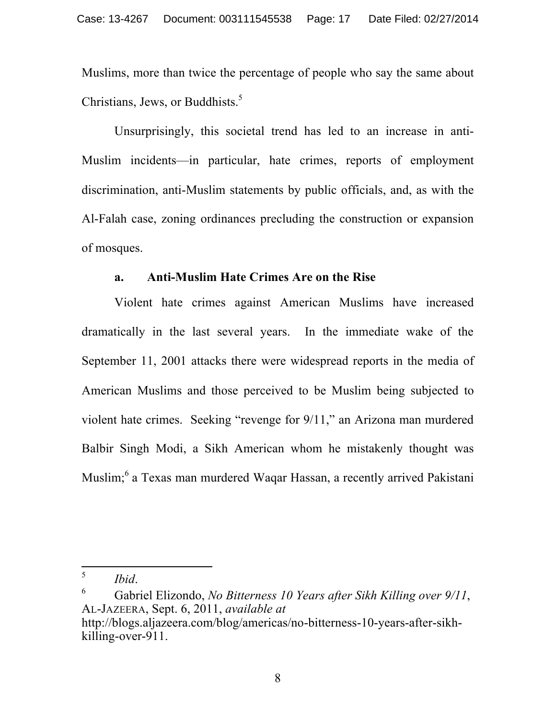Muslims, more than twice the percentage of people who say the same about Christians, Jews, or Buddhists. 5

Unsurprisingly, this societal trend has led to an increase in anti-Muslim incidents—in particular, hate crimes, reports of employment discrimination, anti-Muslim statements by public officials, and, as with the Al-Falah case, zoning ordinances precluding the construction or expansion of mosques.

### **a. Anti-Muslim Hate Crimes Are on the Rise**

Violent hate crimes against American Muslims have increased dramatically in the last several years. In the immediate wake of the September 11, 2001 attacks there were widespread reports in the media of American Muslims and those perceived to be Muslim being subjected to violent hate crimes. Seeking "revenge for 9/11," an Arizona man murdered Balbir Singh Modi, a Sikh American whom he mistakenly thought was Muslim;<sup>6</sup> a Texas man murdered Waqar Hassan, a recently arrived Pakistani

<sup>5</sup> 

<sup>5</sup> *Ibid*. 6 Gabriel Elizondo, *No Bitterness 10 Years after Sikh Killing over 9/11*, AL-JAZEERA, Sept. 6, 2011, *available at*  http://blogs.aljazeera.com/blog/americas/no-bitterness-10-years-after-sikh-

killing-over-911.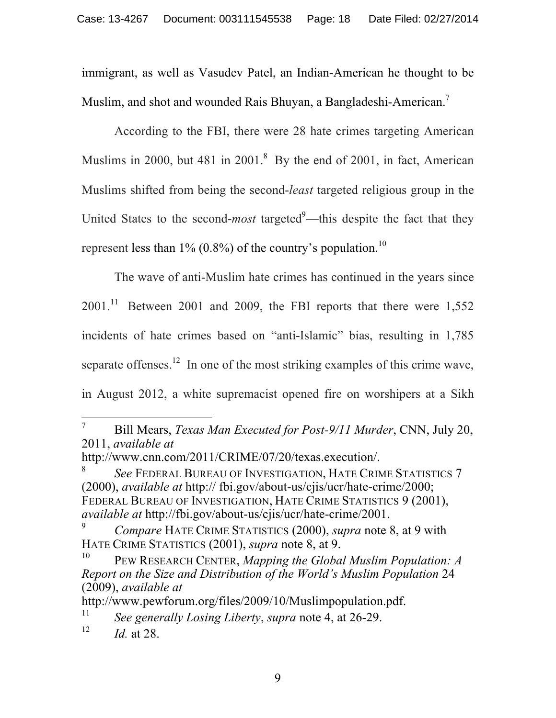immigrant, as well as Vasudev Patel, an Indian-American he thought to be Muslim, and shot and wounded Rais Bhuyan, a Bangladeshi-American.<sup>7</sup>

According to the FBI, there were 28 hate crimes targeting American Muslims in 2000, but 481 in  $2001$ .<sup>8</sup> By the end of 2001, in fact, American Muslims shifted from being the second-*least* targeted religious group in the United States to the second-*most* targeted<sup>9</sup>—this despite the fact that they represent less than  $1\%$  (0.8%) of the country's population.<sup>10</sup>

The wave of anti-Muslim hate crimes has continued in the years since  $2001$ <sup>11</sup> Between 2001 and 2009, the FBI reports that there were 1,552 incidents of hate crimes based on "anti-Islamic" bias, resulting in 1,785 separate offenses.<sup>12</sup> In one of the most striking examples of this crime wave, in August 2012, a white supremacist opened fire on worshipers at a Sikh

<sup>8</sup> *See* FEDERAL BUREAU OF INVESTIGATION, HATE CRIME STATISTICS 7 (2000), *available at* http:// fbi.gov/about-us/cjis/ucr/hate-crime/2000; FEDERAL BUREAU OF INVESTIGATION, HATE CRIME STATISTICS 9 (2001), *available at* http://fbi.gov/about-us/cjis/ucr/hate-crime/2001.

http://www.pewforum.org/files/2009/10/Muslimpopulation.pdf.

 $\overline{7}$ <sup>7</sup> Bill Mears, *Texas Man Executed for Post-9/11 Murder*, CNN, July 20, 2011, *available at*

http://www.cnn.com/2011/CRIME/07/20/texas.execution/.

<sup>9</sup> *Compare* HATE CRIME STATISTICS (2000), *supra* note 8, at 9 with HATE CRIME STATISTICS (2001), *supra* note 8, at 9.

<sup>10</sup> PEW RESEARCH CENTER, *Mapping the Global Muslim Population: A Report on the Size and Distribution of the World's Muslim Population* 24 (2009), *available at* 

<sup>11</sup> *See generally Losing Liberty*, *supra* note 4, at 26-29.

<sup>&</sup>lt;sup>12</sup> *Id.* at 28.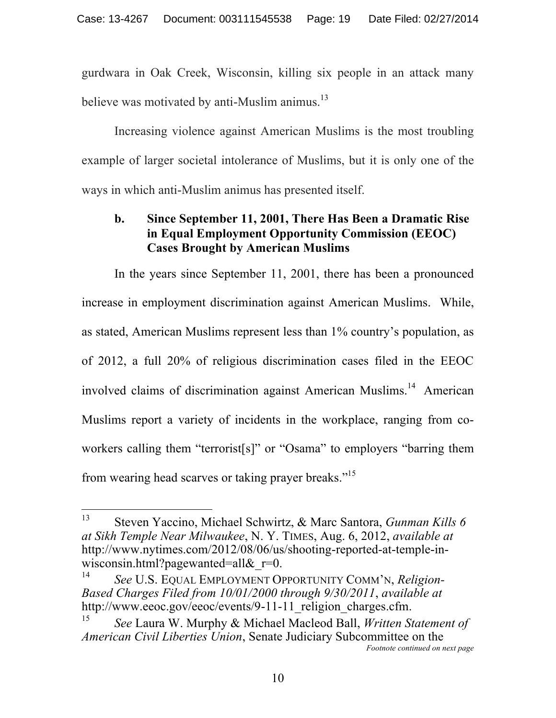gurdwara in Oak Creek, Wisconsin, killing six people in an attack many believe was motivated by anti-Muslim animus.<sup>13</sup>

Increasing violence against American Muslims is the most troubling example of larger societal intolerance of Muslims, but it is only one of the ways in which anti-Muslim animus has presented itself.

# **b. Since September 11, 2001, There Has Been a Dramatic Rise in Equal Employment Opportunity Commission (EEOC) Cases Brought by American Muslims**

In the years since September 11, 2001, there has been a pronounced increase in employment discrimination against American Muslims. While, as stated, American Muslims represent less than 1% country's population, as of 2012, a full 20% of religious discrimination cases filed in the EEOC involved claims of discrimination against American Muslims.<sup>14</sup> American Muslims report a variety of incidents in the workplace, ranging from coworkers calling them "terrorist[s]" or "Osama" to employers "barring them from wearing head scarves or taking prayer breaks."<sup>15</sup>

<sup>13</sup> <sup>13</sup> Steven Yaccino, Michael Schwirtz, & Marc Santora, *Gunman Kills 6 at Sikh Temple Near Milwaukee*, N. Y. TIMES, Aug. 6, 2012, *available at*  http://www.nytimes.com/2012/08/06/us/shooting-reported-at-temple-inwisconsin.html?pagewanted=all $\&$ r=0.

<sup>14</sup> *See* U.S. EQUAL EMPLOYMENT OPPORTUNITY COMM'N, *Religion-Based Charges Filed from 10/01/2000 through 9/30/2011*, *available at* http://www.eeoc.gov/eeoc/events/9-11-11 religion charges.cfm.

<sup>15</sup> *See* Laura W. Murphy & Michael Macleod Ball, *Written Statement of American Civil Liberties Union*, Senate Judiciary Subcommittee on the *Footnote continued on next page*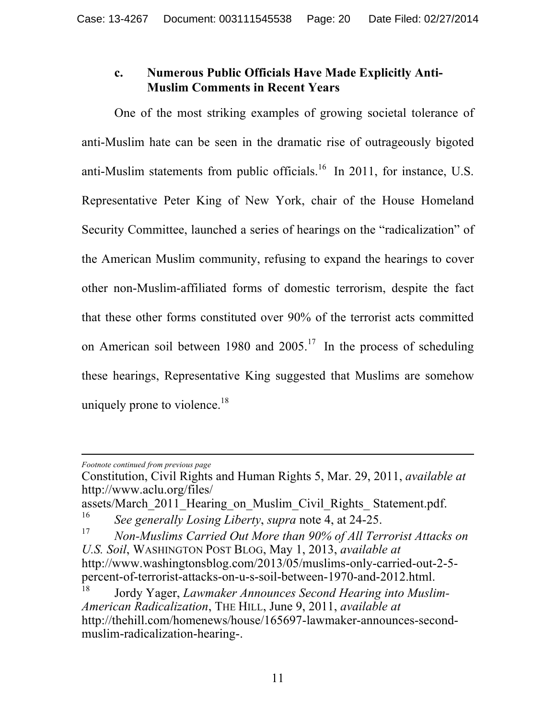# **c. Numerous Public Officials Have Made Explicitly Anti-Muslim Comments in Recent Years**

One of the most striking examples of growing societal tolerance of anti-Muslim hate can be seen in the dramatic rise of outrageously bigoted anti-Muslim statements from public officials.<sup>16</sup> In 2011, for instance, U.S. Representative Peter King of New York, chair of the House Homeland Security Committee, launched a series of hearings on the "radicalization" of the American Muslim community, refusing to expand the hearings to cover other non-Muslim-affiliated forms of domestic terrorism, despite the fact that these other forms constituted over 90% of the terrorist acts committed on American soil between 1980 and  $2005<sup>17</sup>$  In the process of scheduling these hearings, Representative King suggested that Muslims are somehow uniquely prone to violence.<sup>18</sup>

 $\overline{a}$ *Footnote continued from previous page*

Constitution, Civil Rights and Human Rights 5, Mar. 29, 2011, *available at* http://www.aclu.org/files/

assets/March\_2011\_Hearing\_on\_Muslim\_Civil\_Rights\_ Statement.pdf.

<sup>16</sup> *See generally Losing Liberty*, *supra* note 4, at 24-25.

<sup>17</sup> *Non-Muslims Carried Out More than 90% of All Terrorist Attacks on U.S. Soil*, WASHINGTON POST BLOG, May 1, 2013, *available at* http://www.washingtonsblog.com/2013/05/muslims-only-carried-out-2-5 percent-of-terrorist-attacks-on-u-s-soil-between-1970-and-2012.html.

<sup>18</sup> Jordy Yager, *Lawmaker Announces Second Hearing into Muslim-American Radicalization*, THE HILL, June 9, 2011, *available at* http://thehill.com/homenews/house/165697-lawmaker-announces-secondmuslim-radicalization-hearing-.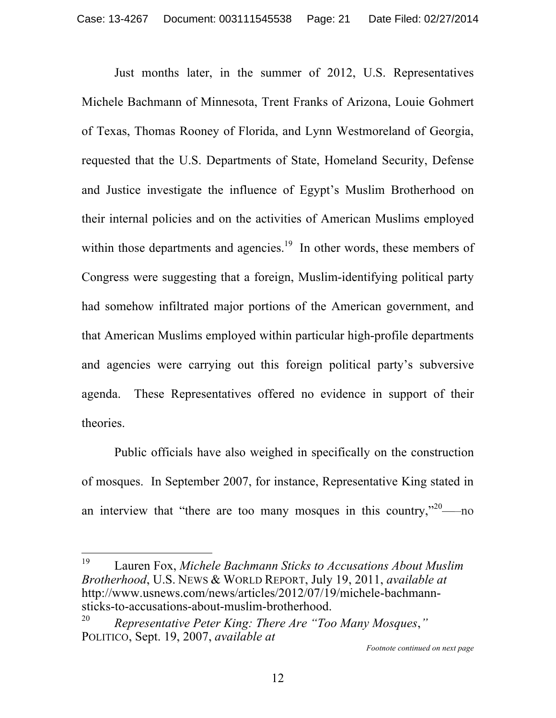Just months later, in the summer of 2012, U.S. Representatives Michele Bachmann of Minnesota, Trent Franks of Arizona, Louie Gohmert of Texas, Thomas Rooney of Florida, and Lynn Westmoreland of Georgia, requested that the U.S. Departments of State, Homeland Security, Defense and Justice investigate the influence of Egypt's Muslim Brotherhood on their internal policies and on the activities of American Muslims employed within those departments and agencies.<sup>19</sup> In other words, these members of Congress were suggesting that a foreign, Muslim-identifying political party had somehow infiltrated major portions of the American government, and that American Muslims employed within particular high-profile departments and agencies were carrying out this foreign political party's subversive agenda. These Representatives offered no evidence in support of their theories.

Public officials have also weighed in specifically on the construction of mosques. In September 2007, for instance, Representative King stated in an interview that "there are too many mosques in this country, $v^{20}$ —no

19 Lauren Fox, *Michele Bachmann Sticks to Accusations About Muslim Brotherhood*, U.S. NEWS & WORLD REPORT, July 19, 2011, *available at*  http://www.usnews.com/news/articles/2012/07/19/michele-bachmannsticks-to-accusations-about-muslim-brotherhood.

<sup>20</sup> *Representative Peter King: There Are "Too Many Mosques*,*"*  POLITICO, Sept. 19, 2007, *available at*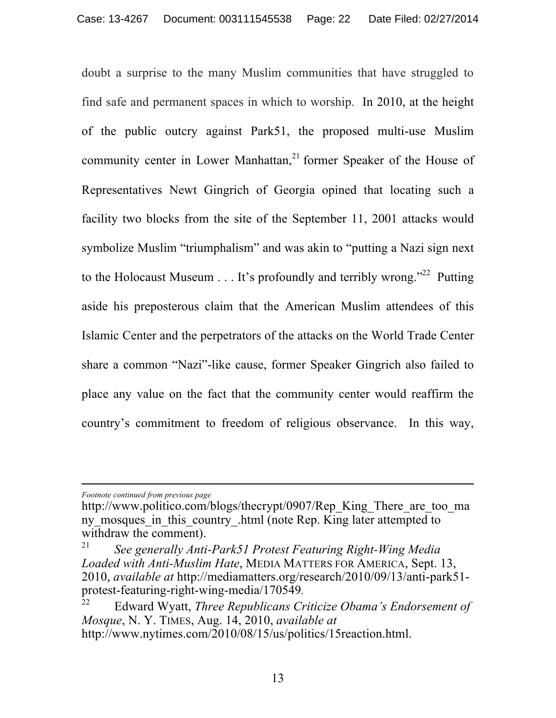doubt a surprise to the many Muslim communities that have struggled to find safe and permanent spaces in which to worship. In 2010, at the height of the public outcry against Park51, the proposed multi-use Muslim community center in Lower Manhattan,<sup>21</sup> former Speaker of the House of Representatives Newt Gingrich of Georgia opined that locating such a facility two blocks from the site of the September 11, 2001 attacks would symbolize Muslim "triumphalism" and was akin to "putting a Nazi sign next to the Holocaust Museum  $\dots$  It's profoundly and terribly wrong."<sup>22</sup> Putting aside his preposterous claim that the American Muslim attendees of this Islamic Center and the perpetrators of the attacks on the World Trade Center share a common "Nazi"-like cause, former Speaker Gingrich also failed to place any value on the fact that the community center would reaffirm the country's commitment to freedom of religious observance. In this way,

*Footnote continued from previous page*

 $\overline{a}$ 

http://www.politico.com/blogs/thecrypt/0907/Rep\_King\_There\_are\_too\_ma ny mosques in this country .html (note Rep. King later attempted to withdraw the comment).

<sup>21</sup> *See generally Anti-Park51 Protest Featuring Right-Wing Media Loaded with Anti-Muslim Hate*, MEDIA MATTERS FOR AMERICA, Sept. 13, 2010, *available at* http://mediamatters.org/research/2010/09/13/anti-park51 protest-featuring-right-wing-media/170549*.* 

<sup>22</sup> Edward Wyatt, *Three Republicans Criticize Obama's Endorsement of Mosque*, N. Y. TIMES, Aug. 14, 2010, *available at* http://www.nytimes.com/2010/08/15/us/politics/15reaction.html.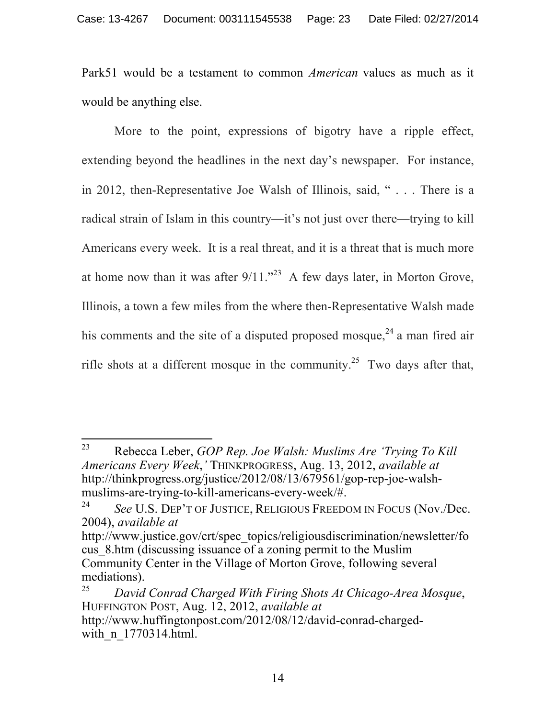Park51 would be a testament to common *American* values as much as it would be anything else.

More to the point, expressions of bigotry have a ripple effect, extending beyond the headlines in the next day's newspaper. For instance, in 2012, then-Representative Joe Walsh of Illinois, said, " . . . There is a radical strain of Islam in this country—it's not just over there—trying to kill Americans every week. It is a real threat, and it is a threat that is much more at home now than it was after  $9/11$ ."<sup>23</sup> A few days later, in Morton Grove, Illinois, a town a few miles from the where then-Representative Walsh made his comments and the site of a disputed proposed mosque,<sup>24</sup> a man fired air rifle shots at a different mosque in the community.<sup>25</sup> Two days after that,

<sup>23</sup> <sup>23</sup> Rebecca Leber, *GOP Rep. Joe Walsh: Muslims Are 'Trying To Kill Americans Every Week*,*'* THINKPROGRESS, Aug. 13, 2012, *available at* http://thinkprogress.org/justice/2012/08/13/679561/gop-rep-joe-walshmuslims-are-trying-to-kill-americans-every-week/#.

<sup>24</sup> *See* U.S. DEP'T OF JUSTICE, RELIGIOUS FREEDOM IN FOCUS (Nov./Dec. 2004), *available at* 

http://www.justice.gov/crt/spec\_topics/religiousdiscrimination/newsletter/fo cus\_8.htm (discussing issuance of a zoning permit to the Muslim Community Center in the Village of Morton Grove, following several mediations).

<sup>25</sup> *David Conrad Charged With Firing Shots At Chicago-Area Mosque*, HUFFINGTON POST, Aug. 12, 2012, *available at* http://www.huffingtonpost.com/2012/08/12/david-conrad-chargedwith n 1770314.html.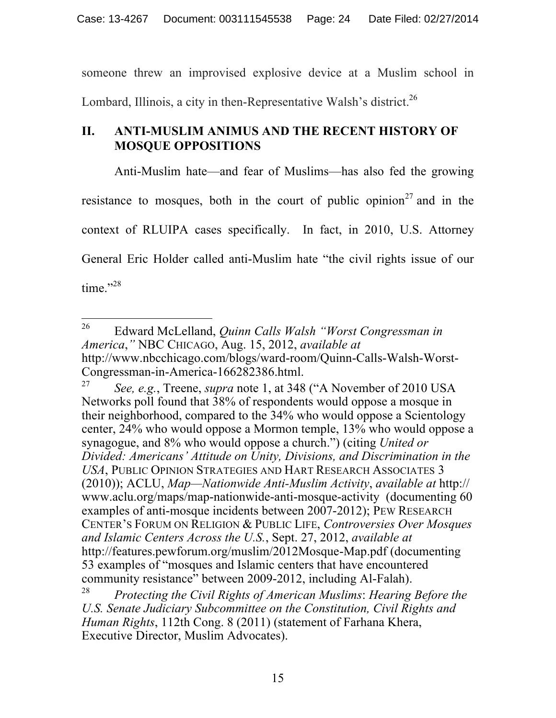someone threw an improvised explosive device at a Muslim school in Lombard, Illinois, a city in then-Representative Walsh's district.<sup>26</sup>

# **II. ANTI-MUSLIM ANIMUS AND THE RECENT HISTORY OF MOSQUE OPPOSITIONS**

Anti-Muslim hate—and fear of Muslims—has also fed the growing resistance to mosques, both in the court of public opinion<sup>27</sup> and in the context of RLUIPA cases specifically. In fact, in 2010, U.S. Attorney General Eric Holder called anti-Muslim hate "the civil rights issue of our time."28

<sup>26</sup> <sup>26</sup> Edward McLelland, *Quinn Calls Walsh "Worst Congressman in America*,*"* NBC CHICAGO, Aug. 15, 2012, *available at* http://www.nbcchicago.com/blogs/ward-room/Quinn-Calls-Walsh-Worst-Congressman-in-America-166282386.html.

<sup>27</sup> *See, e.g.*, Treene, *supra* note 1, at 348 ("A November of 2010 USA Networks poll found that 38% of respondents would oppose a mosque in their neighborhood, compared to the 34% who would oppose a Scientology center, 24% who would oppose a Mormon temple, 13% who would oppose a synagogue, and 8% who would oppose a church.") (citing *United or Divided: Americans' Attitude on Unity, Divisions, and Discrimination in the USA*, PUBLIC OPINION STRATEGIES AND HART RESEARCH ASSOCIATES 3 (2010)); ACLU, *Map—Nationwide Anti-Muslim Activity*, *available at* http:// www.aclu.org/maps/map-nationwide-anti-mosque-activity (documenting 60 examples of anti-mosque incidents between 2007-2012); PEW RESEARCH CENTER'S FORUM ON RELIGION & PUBLIC LIFE, *Controversies Over Mosques and Islamic Centers Across the U.S.*, Sept. 27, 2012, *available at* http://features.pewforum.org/muslim/2012Mosque-Map.pdf (documenting 53 examples of "mosques and Islamic centers that have encountered community resistance" between 2009-2012, including Al-Falah).

<sup>28</sup> *Protecting the Civil Rights of American Muslims*: *Hearing Before the U.S. Senate Judiciary Subcommittee on the Constitution, Civil Rights and Human Rights*, 112th Cong. 8 (2011) (statement of Farhana Khera, Executive Director, Muslim Advocates).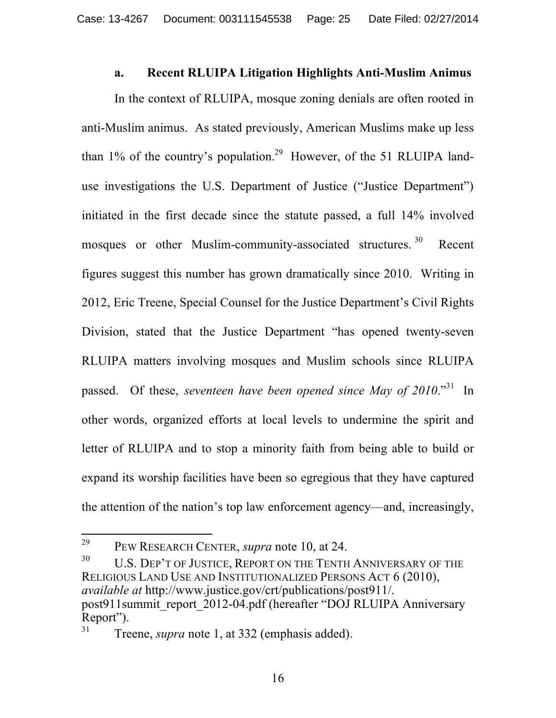#### **a. Recent RLUIPA Litigation Highlights Anti-Muslim Animus**

In the context of RLUIPA, mosque zoning denials are often rooted in anti-Muslim animus. As stated previously, American Muslims make up less than  $1\%$  of the country's population.<sup>29</sup> However, of the 51 RLUIPA landuse investigations the U.S. Department of Justice ("Justice Department") initiated in the first decade since the statute passed, a full 14% involved mosques or other Muslim-community-associated structures.<sup>30</sup> Recent figures suggest this number has grown dramatically since 2010. Writing in 2012, Eric Treene, Special Counsel for the Justice Department's Civil Rights Division, stated that the Justice Department "has opened twenty-seven RLUIPA matters involving mosques and Muslim schools since RLUIPA passed. Of these, *seventeen have been opened since May of 2010*."31 In other words, organized efforts at local levels to undermine the spirit and letter of RLUIPA and to stop a minority faith from being able to build or expand its worship facilities have been so egregious that they have captured the attention of the nation's top law enforcement agency—and, increasingly,

 $30$  U.S. DEP'T OF JUSTICE, REPORT ON THE TENTH ANNIVERSARY OF THE RELIGIOUS LAND USE AND INSTITUTIONALIZED PERSONS ACT 6 (2010), *available at* http://www.justice.gov/crt/publications/post911/. post911summit\_report\_2012-04.pdf (hereafter "DOJ RLUIPA Anniversary Report").

<sup>29</sup> <sup>29</sup> PEW RESEARCH CENTER, *supra* note 10, at 24.

<sup>31</sup> Treene, *supra* note 1, at 332 (emphasis added).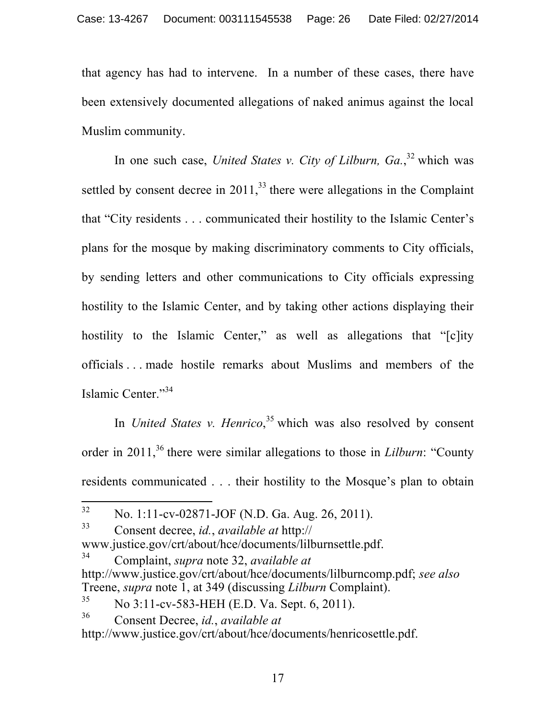that agency has had to intervene. In a number of these cases, there have been extensively documented allegations of naked animus against the local Muslim community.

In one such case, *United States v. City of Lilburn*, Ga.<sup>32</sup> which was settled by consent decree in  $2011<sup>33</sup>$ , there were allegations in the Complaint that "City residents . . . communicated their hostility to the Islamic Center's plans for the mosque by making discriminatory comments to City officials, by sending letters and other communications to City officials expressing hostility to the Islamic Center, and by taking other actions displaying their hostility to the Islamic Center," as well as allegations that "[c]ity officials . . . made hostile remarks about Muslims and members of the Islamic Center."34

In *United States v. Henrico*,<sup>35</sup> which was also resolved by consent order in 2011,<sup>36</sup> there were similar allegations to those in *Lilburn*: "County" residents communicated . . . their hostility to the Mosque's plan to obtain

 $32$ <sup>32</sup> No. 1:11-cv-02871-JOF (N.D. Ga. Aug. 26, 2011).

<sup>33</sup> Consent decree, *id.*, *available at* http:// www.justice.gov/crt/about/hce/documents/lilburnsettle.pdf.

<sup>34</sup> Complaint, *supra* note 32, *available at* http://www.justice.gov/crt/about/hce/documents/lilburncomp.pdf; *see also*  Treene, *supra* note 1, at 349 (discussing *Lilburn* Complaint).

 $35$  No  $3:11$ -cv-583-HEH (E.D. Va. Sept. 6, 2011).

<sup>36</sup> Consent Decree, *id.*, *available at*

http://www.justice.gov/crt/about/hce/documents/henricosettle.pdf.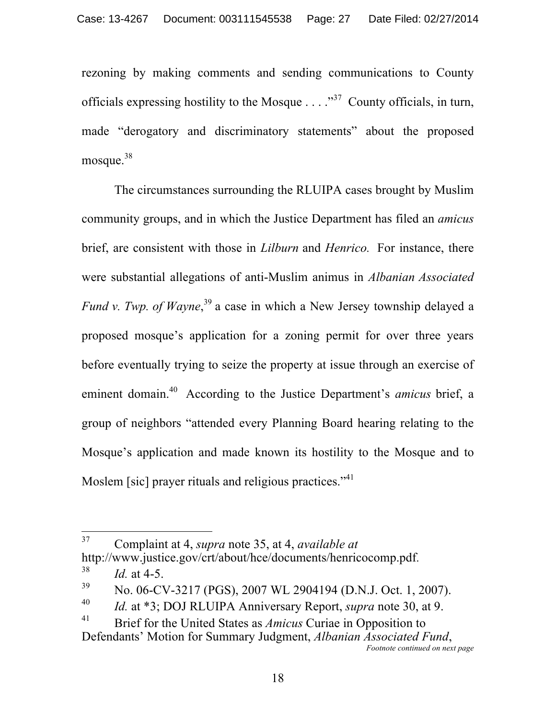rezoning by making comments and sending communications to County officials expressing hostility to the Mosque  $\ldots$   $\cdot$   $\cdot$  County officials, in turn, made "derogatory and discriminatory statements" about the proposed mosque.<sup>38</sup>

The circumstances surrounding the RLUIPA cases brought by Muslim community groups, and in which the Justice Department has filed an *amicus*  brief, are consistent with those in *Lilburn* and *Henrico.* For instance, there were substantial allegations of anti-Muslim animus in *Albanian Associated Fund v. Twp. of Wayne*, <sup>39</sup> a case in which a New Jersey township delayed a proposed mosque's application for a zoning permit for over three years before eventually trying to seize the property at issue through an exercise of eminent domain.40 According to the Justice Department's *amicus* brief, a group of neighbors "attended every Planning Board hearing relating to the Mosque's application and made known its hostility to the Mosque and to Moslem [sic] prayer rituals and religious practices."<sup>41</sup>

<sup>37</sup> <sup>37</sup> Complaint at 4, *supra* note 35, at 4, *available at*  http://www.justice.gov/crt/about/hce/documents/henricocomp.pdf*.* 

 $^{38}$  *Id.* at 4-5.

 $39$  No. 06-CV-3217 (PGS), 2007 WL 2904194 (D.N.J. Oct. 1, 2007).

<sup>40</sup> *Id.* at \*3; DOJ RLUIPA Anniversary Report, *supra* note 30, at 9.

<sup>41</sup> Brief for the United States as *Amicus* Curiae in Opposition to Defendants' Motion for Summary Judgment, *Albanian Associated Fund*,

*Footnote continued on next page*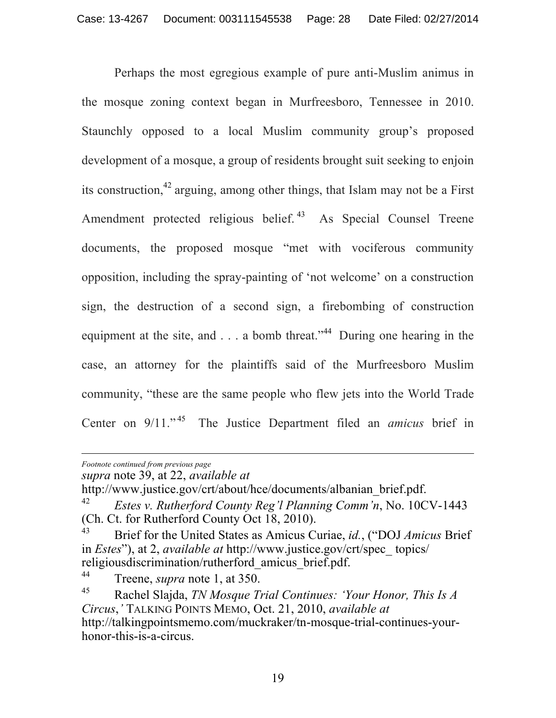Perhaps the most egregious example of pure anti-Muslim animus in the mosque zoning context began in Murfreesboro, Tennessee in 2010. Staunchly opposed to a local Muslim community group's proposed development of a mosque, a group of residents brought suit seeking to enjoin its construction,  $42$  arguing, among other things, that Islam may not be a First Amendment protected religious belief.<sup>43</sup> As Special Counsel Treene documents, the proposed mosque "met with vociferous community opposition, including the spray-painting of 'not welcome' on a construction sign, the destruction of a second sign, a firebombing of construction equipment at the site, and  $\ldots$  a bomb threat."<sup>44</sup> During one hearing in the case, an attorney for the plaintiffs said of the Murfreesboro Muslim community, "these are the same people who flew jets into the World Trade Center on 9/11." 45 The Justice Department filed an *amicus* brief in

http://www.justice.gov/crt/about/hce/documents/albanian\_brief.pdf.

 $\overline{a}$ *Footnote continued from previous page*

*supra* note 39, at 22, *available at* 

<sup>42</sup> *Estes v. Rutherford County Reg'l Planning Comm'n*, No. 10CV-1443 (Ch. Ct. for Rutherford County Oct 18, 2010).

<sup>43</sup> Brief for the United States as Amicus Curiae, *id.*, ("DOJ *Amicus* Brief in *Estes*"), at 2, *available at* http://www.justice.gov/crt/spec\_ topics/ religiousdiscrimination/rutherford\_amicus\_brief.pdf.

<sup>44</sup> Treene, *supra* note 1, at 350.

<sup>45</sup> Rachel Slajda, *TN Mosque Trial Continues: 'Your Honor, This Is A Circus*,*'* TALKING POINTS MEMO, Oct. 21, 2010, *available at* http://talkingpointsmemo.com/muckraker/tn-mosque-trial-continues-yourhonor-this-is-a-circus.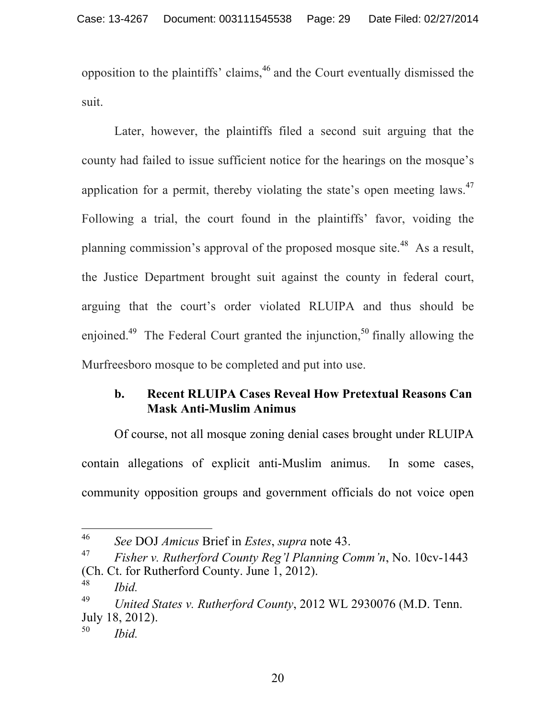opposition to the plaintiffs' claims,<sup>46</sup> and the Court eventually dismissed the suit.

Later, however, the plaintiffs filed a second suit arguing that the county had failed to issue sufficient notice for the hearings on the mosque's application for a permit, thereby violating the state's open meeting laws.<sup>47</sup> Following a trial, the court found in the plaintiffs' favor, voiding the planning commission's approval of the proposed mosque site.<sup>48</sup> As a result, the Justice Department brought suit against the county in federal court, arguing that the court's order violated RLUIPA and thus should be enjoined.<sup>49</sup> The Federal Court granted the injunction,<sup>50</sup> finally allowing the Murfreesboro mosque to be completed and put into use.

# **b. Recent RLUIPA Cases Reveal How Pretextual Reasons Can Mask Anti-Muslim Animus**

Of course, not all mosque zoning denial cases brought under RLUIPA contain allegations of explicit anti-Muslim animus. In some cases, community opposition groups and government officials do not voice open

<sup>48</sup> *Ibid.* 

<sup>46</sup> <sup>46</sup> *See* DOJ *Amicus* Brief in *Estes*, *supra* note 43.

<sup>47</sup> *Fisher v. Rutherford County Reg'l Planning Comm'n*, No. 10cv-1443 (Ch. Ct. for Rutherford County. June 1, 2012).

<sup>49</sup> *United States v. Rutherford County*, 2012 WL 2930076 (M.D. Tenn. July 18, 2012).

<sup>50</sup> *Ibid.*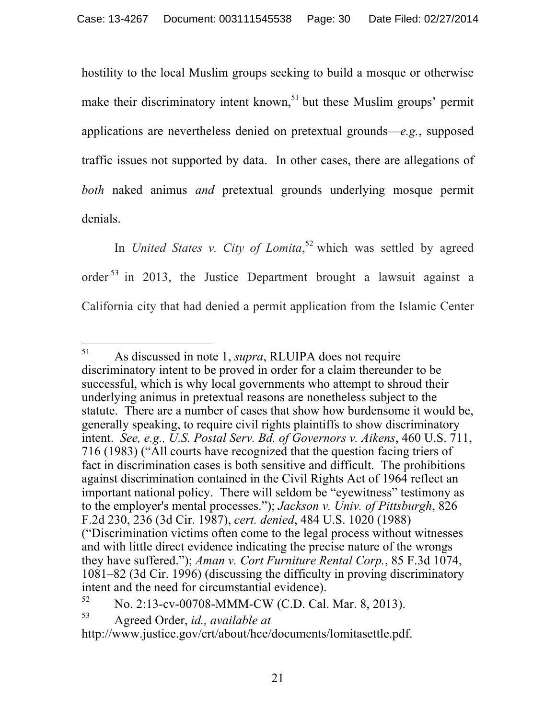hostility to the local Muslim groups seeking to build a mosque or otherwise make their discriminatory intent known,<sup>51</sup> but these Muslim groups' permit applications are nevertheless denied on pretextual grounds—*e.g.*, supposed traffic issues not supported by data. In other cases, there are allegations of *both* naked animus *and* pretextual grounds underlying mosque permit denials.

In *United States v. City of Lomita*,<sup>52</sup> which was settled by agreed order<sup>53</sup> in 2013, the Justice Department brought a lawsuit against a California city that had denied a permit application from the Islamic Center

<sup>51</sup> <sup>51</sup> As discussed in note 1, *supra*, RLUIPA does not require discriminatory intent to be proved in order for a claim thereunder to be successful, which is why local governments who attempt to shroud their underlying animus in pretextual reasons are nonetheless subject to the statute. There are a number of cases that show how burdensome it would be, generally speaking, to require civil rights plaintiffs to show discriminatory intent. *See, e.g., U.S. Postal Serv. Bd. of Governors v. Aikens*, 460 U.S. 711, 716 (1983) ("All courts have recognized that the question facing triers of fact in discrimination cases is both sensitive and difficult. The prohibitions against discrimination contained in the Civil Rights Act of 1964 reflect an important national policy. There will seldom be "eyewitness" testimony as to the employer's mental processes."); *Jackson v. Univ. of Pittsburgh*, 826 F.2d 230, 236 (3d Cir. 1987), *cert. denied*, 484 U.S. 1020 (1988) ("Discrimination victims often come to the legal process without witnesses and with little direct evidence indicating the precise nature of the wrongs they have suffered."); *Aman v. Cort Furniture Rental Corp.*, 85 F.3d 1074, 1081–82 (3d Cir. 1996) (discussing the difficulty in proving discriminatory intent and the need for circumstantial evidence).

<sup>52</sup> No. 2:13-cv-00708-MMM-CW (C.D. Cal. Mar. 8, 2013).

<sup>53</sup> Agreed Order, *id., available at* 

http://www.justice.gov/crt/about/hce/documents/lomitasettle.pdf.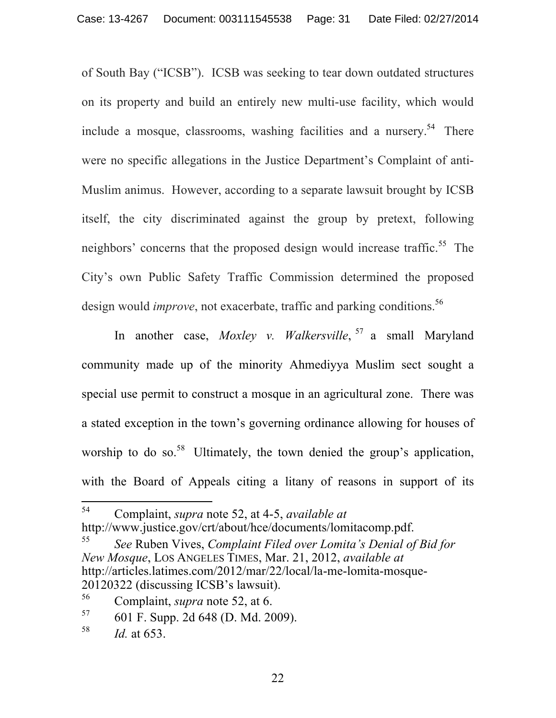of South Bay ("ICSB"). ICSB was seeking to tear down outdated structures on its property and build an entirely new multi-use facility, which would include a mosque, classrooms, washing facilities and a nursery.<sup>54</sup> There were no specific allegations in the Justice Department's Complaint of anti-Muslim animus. However, according to a separate lawsuit brought by ICSB itself, the city discriminated against the group by pretext, following neighbors' concerns that the proposed design would increase traffic.<sup>55</sup> The City's own Public Safety Traffic Commission determined the proposed design would *improve*, not exacerbate, traffic and parking conditions.<sup>56</sup>

In another case, *Moxley v. Walkersville*, <sup>57</sup> a small Maryland community made up of the minority Ahmediyya Muslim sect sought a special use permit to construct a mosque in an agricultural zone. There was a stated exception in the town's governing ordinance allowing for houses of worship to do so.<sup>58</sup> Ultimately, the town denied the group's application, with the Board of Appeals citing a litany of reasons in support of its

<sup>54</sup> <sup>54</sup> Complaint, *supra* note 52, at 4-5, *available at*  http://www.justice.gov/crt/about/hce/documents/lomitacomp.pdf.

<sup>55</sup> *See* Ruben Vives, *Complaint Filed over Lomita's Denial of Bid for New Mosque*, LOS ANGELES TIMES, Mar. 21, 2012, *available at*  http://articles.latimes.com/2012/mar/22/local/la-me-lomita-mosque-20120322 (discussing ICSB's lawsuit).

<sup>56</sup> Complaint, *supra* note 52, at 6.

<sup>57</sup> 601 F. Supp. 2d 648 (D. Md. 2009).

<sup>58</sup> *Id.* at 653.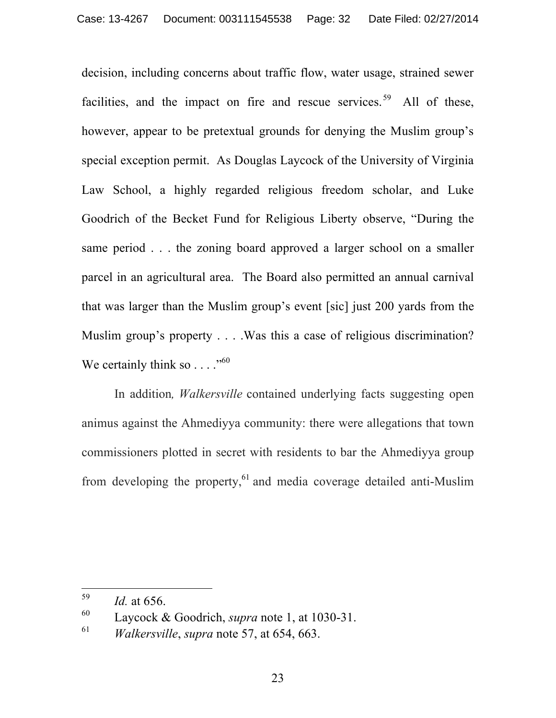decision, including concerns about traffic flow, water usage, strained sewer facilities, and the impact on fire and rescue services.<sup>59</sup> All of these, however, appear to be pretextual grounds for denying the Muslim group's special exception permit. As Douglas Laycock of the University of Virginia Law School, a highly regarded religious freedom scholar, and Luke Goodrich of the Becket Fund for Religious Liberty observe, "During the same period . . . the zoning board approved a larger school on a smaller parcel in an agricultural area. The Board also permitted an annual carnival that was larger than the Muslim group's event [sic] just 200 yards from the Muslim group's property . . . . Was this a case of religious discrimination? We certainly think so  $\dots$ ."<sup>60</sup>

In addition*, Walkersville* contained underlying facts suggesting open animus against the Ahmediyya community: there were allegations that town commissioners plotted in secret with residents to bar the Ahmediyya group from developing the property,<sup>61</sup> and media coverage detailed anti-Muslim

<sup>59</sup> *Id.* at 656.

<sup>60</sup> Laycock & Goodrich, *supra* note 1, at 1030-31.

<sup>61</sup> *Walkersville*, *supra* note 57, at 654, 663.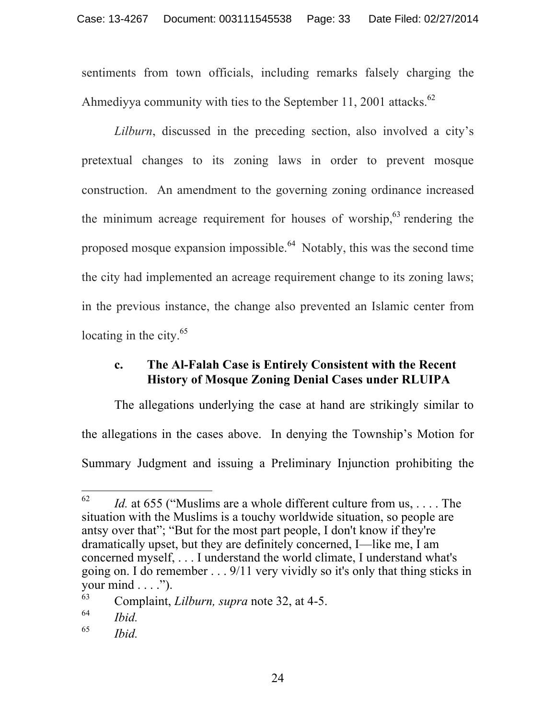sentiments from town officials, including remarks falsely charging the Ahmediyya community with ties to the September 11, 2001 attacks.<sup>62</sup>

*Lilburn*, discussed in the preceding section, also involved a city's pretextual changes to its zoning laws in order to prevent mosque construction. An amendment to the governing zoning ordinance increased the minimum acreage requirement for houses of worship,<sup>63</sup> rendering the proposed mosque expansion impossible.<sup>64</sup> Notably, this was the second time the city had implemented an acreage requirement change to its zoning laws; in the previous instance, the change also prevented an Islamic center from locating in the city.<sup>65</sup>

## **c. The Al-Falah Case is Entirely Consistent with the Recent History of Mosque Zoning Denial Cases under RLUIPA**

The allegations underlying the case at hand are strikingly similar to the allegations in the cases above. In denying the Township's Motion for Summary Judgment and issuing a Preliminary Injunction prohibiting the

<sup>62</sup> *Id.* at 655 ("Muslims are a whole different culture from us, ... The situation with the Muslims is a touchy worldwide situation, so people are antsy over that"; "But for the most part people, I don't know if they're dramatically upset, but they are definitely concerned, I—like me, I am concerned myself, . . . I understand the world climate, I understand what's going on. I do remember . . . 9/11 very vividly so it's only that thing sticks in your mind  $\dots$ ").

<sup>63</sup> Complaint, *Lilburn, supra* note 32, at 4-5.

<sup>64</sup> *Ibid.* 

<sup>65</sup> *Ibid.*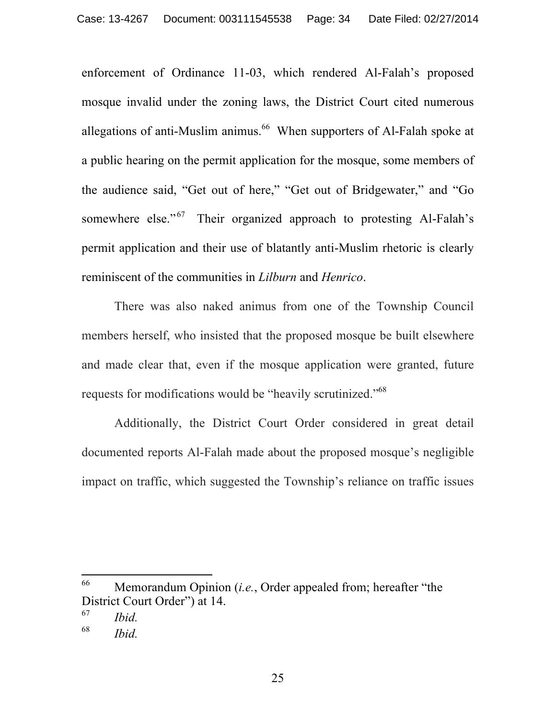enforcement of Ordinance 11-03, which rendered Al-Falah's proposed mosque invalid under the zoning laws, the District Court cited numerous allegations of anti-Muslim animus.<sup>66</sup> When supporters of Al-Falah spoke at a public hearing on the permit application for the mosque, some members of the audience said, "Get out of here," "Get out of Bridgewater," and "Go somewhere else." $67$  Their organized approach to protesting Al-Falah's permit application and their use of blatantly anti-Muslim rhetoric is clearly reminiscent of the communities in *Lilburn* and *Henrico*.

There was also naked animus from one of the Township Council members herself, who insisted that the proposed mosque be built elsewhere and made clear that, even if the mosque application were granted, future requests for modifications would be "heavily scrutinized."68

Additionally, the District Court Order considered in great detail documented reports Al-Falah made about the proposed mosque's negligible impact on traffic, which suggested the Township's reliance on traffic issues

<sup>66</sup> Memorandum Opinion *(i.e.*, Order appealed from; hereafter "the District Court Order") at 14.

<sup>67</sup> *Ibid.* 

<sup>68</sup> *Ibid.*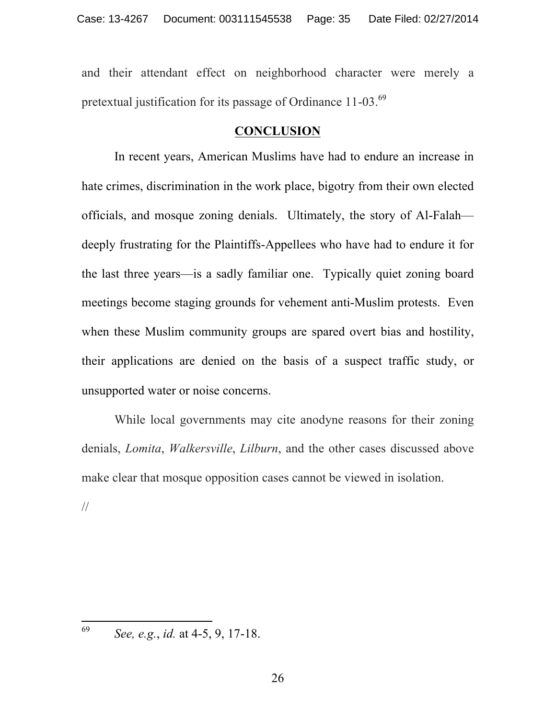and their attendant effect on neighborhood character were merely a pretextual justification for its passage of Ordinance 11-03.<sup>69</sup>

### **CONCLUSION**

In recent years, American Muslims have had to endure an increase in hate crimes, discrimination in the work place, bigotry from their own elected officials, and mosque zoning denials. Ultimately, the story of Al-Falah deeply frustrating for the Plaintiffs-Appellees who have had to endure it for the last three years—is a sadly familiar one. Typically quiet zoning board meetings become staging grounds for vehement anti-Muslim protests. Even when these Muslim community groups are spared overt bias and hostility, their applications are denied on the basis of a suspect traffic study, or unsupported water or noise concerns.

While local governments may cite anodyne reasons for their zoning denials, *Lomita*, *Walkersville*, *Lilburn*, and the other cases discussed above make clear that mosque opposition cases cannot be viewed in isolation. //

69 <sup>69</sup> *See, e.g.*, *id.* at 4-5, 9, 17-18.

26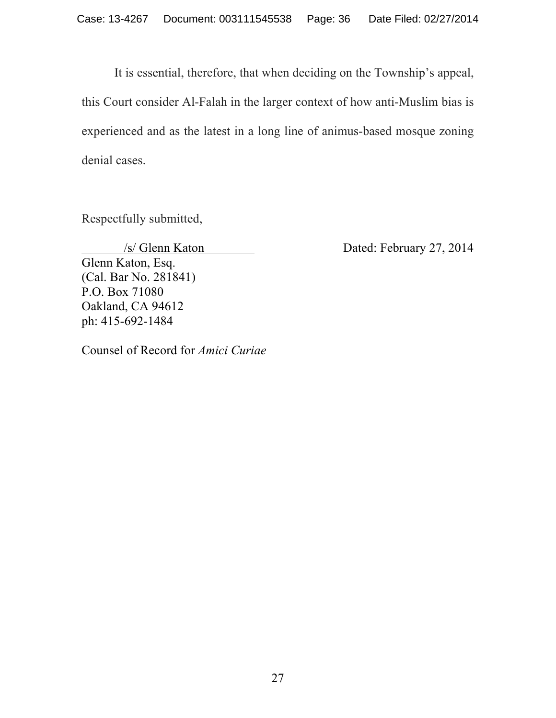It is essential, therefore, that when deciding on the Township's appeal, this Court consider Al-Falah in the larger context of how anti-Muslim bias is experienced and as the latest in a long line of animus-based mosque zoning denial cases.

Respectfully submitted,

Glenn Katon, Esq. (Cal. Bar No. 281841) P.O. Box 71080 Oakland, CA 94612 ph: 415-692-1484

/s/ Glenn Katon Dated: February 27, 2014

Counsel of Record for *Amici Curiae*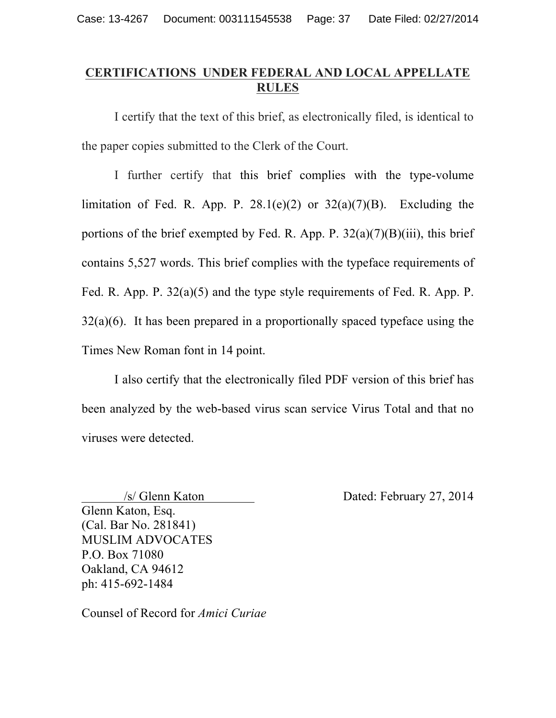# **CERTIFICATIONS UNDER FEDERAL AND LOCAL APPELLATE RULES**

I certify that the text of this brief, as electronically filed, is identical to the paper copies submitted to the Clerk of the Court.

I further certify that this brief complies with the type-volume limitation of Fed. R. App. P.  $28.1(e)(2)$  or  $32(a)(7)(B)$ . Excluding the portions of the brief exempted by Fed. R. App. P.  $32(a)(7)(B)(iii)$ , this brief contains 5,527 words. This brief complies with the typeface requirements of Fed. R. App. P. 32(a)(5) and the type style requirements of Fed. R. App. P.  $32(a)(6)$ . It has been prepared in a proportionally spaced typeface using the Times New Roman font in 14 point.

I also certify that the electronically filed PDF version of this brief has been analyzed by the web-based virus scan service Virus Total and that no viruses were detected.

Glenn Katon, Esq. (Cal. Bar No. 281841) MUSLIM ADVOCATES P.O. Box 71080 Oakland, CA 94612 ph: 415-692-1484

Counsel of Record for *Amici Curiae*

/s/ Glenn Katon Dated: February 27, 2014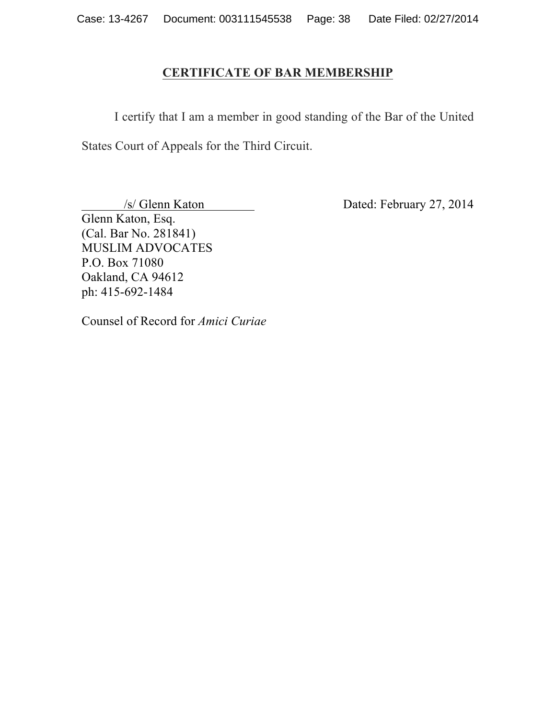### **CERTIFICATE OF BAR MEMBERSHIP**

I certify that I am a member in good standing of the Bar of the United States Court of Appeals for the Third Circuit.

/s/ Glenn Katon Dated: February 27, 2014

Glenn Katon, Esq. (Cal. Bar No. 281841) MUSLIM ADVOCATES P.O. Box 71080 Oakland, CA 94612 ph: 415-692-1484

Counsel of Record for *Amici Curiae*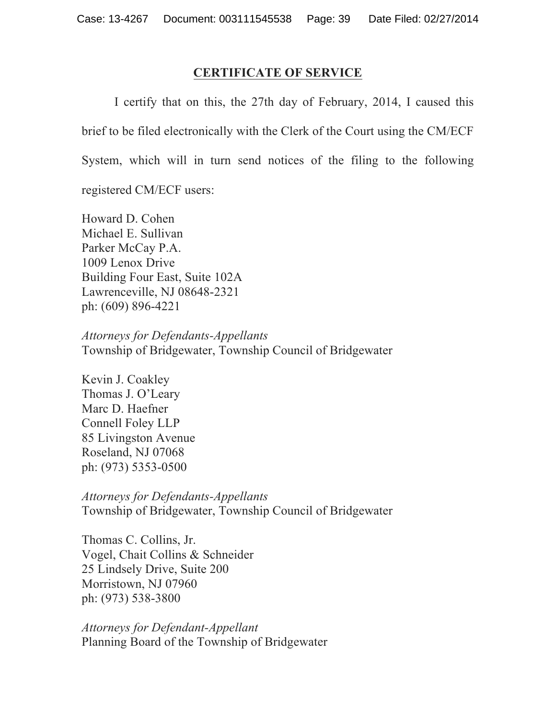### **CERTIFICATE OF SERVICE**

I certify that on this, the 27th day of February, 2014, I caused this brief to be filed electronically with the Clerk of the Court using the CM/ECF System, which will in turn send notices of the filing to the following registered CM/ECF users:

Howard D. Cohen Michael E. Sullivan Parker McCay P.A. 1009 Lenox Drive Building Four East, Suite 102A Lawrenceville, NJ 08648-2321 ph: (609) 896-4221

*Attorneys for Defendants-Appellants* Township of Bridgewater, Township Council of Bridgewater

Kevin J. Coakley Thomas J. O'Leary Marc D. Haefner Connell Foley LLP 85 Livingston Avenue Roseland, NJ 07068 ph: (973) 5353-0500

*Attorneys for Defendants-Appellants* Township of Bridgewater, Township Council of Bridgewater

Thomas C. Collins, Jr. Vogel, Chait Collins & Schneider 25 Lindsely Drive, Suite 200 Morristown, NJ 07960 ph: (973) 538-3800

*Attorneys for Defendant-Appellant* Planning Board of the Township of Bridgewater